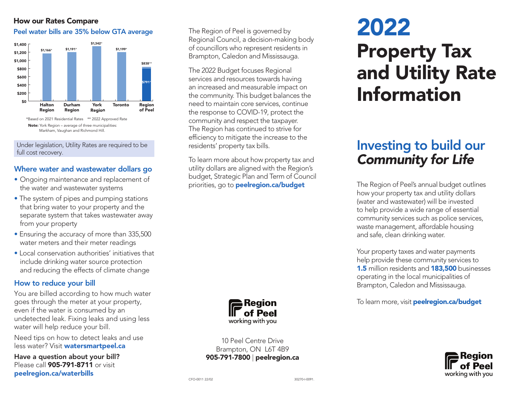### How our Rates Compare

### Peel water bills are 35% below GTA average The Region of Peel is governed by



Under legislation, Utility Rates are required to be full cost recovery.

### Where water and wastewater dollars go

- Ongoing maintenance and replacement of the water and wastewater systems
- The system of pipes and pumping stations that bring water to your property and the separate system that takes wastewater away from your property
- Ensuring the accuracy of more than 335,500 water meters and their meter readings
- Local conservation authorities' initiatives that include drinking water source protection and reducing the effects of climate change

### How to reduce your bill

You are billed according to how much water goes through the meter at your property, even if the water is consumed by an undetected leak. Fixing leaks and using less water will help reduce your bill.

Need tips on how to detect leaks and use less water? Visit watersmartpeel.ca

Have a question about your bill? Please call **905-791-8711** or visit peelregion.ca/waterbills

Regional Council, a decision-making body of councillors who represent residents in Brampton, Caledon and Mississauga.

The 2022 Budget focuses Regional services and resources towards having an increased and measurable impact on the community. This budget balances the need to maintain core services, continue the response to COVID-19, protect the community and respect the taxpayer. The Region has continued to strive for efficiency to mitigate the increase to the residents' property tax bills.

To learn more about how property tax and utility dollars are aligned with the Region's budget, Strategic Plan and Term of Council priorities, go to **peelregion.ca/budget** 



10 Peel Centre Drive Brampton, ON L6T 4B9 905-791-7800 | peelregion.ca

# 2022 Property Tax and Utility Rate Information

## Investing to build our *Community for Life*

The Region of Peel's annual budget outlines how your property tax and utility dollars (water and wastewater) will be invested to help provide a wide range of essential community services such as police services, waste management, affordable housing and safe, clean drinking water.

Your property taxes and water payments help provide these community services to **1.5** million residents and **183,500** businesses operating in the local municipalities of Brampton, Caledon and Mississauga.

To learn more, visit **peelregion.ca/budget**